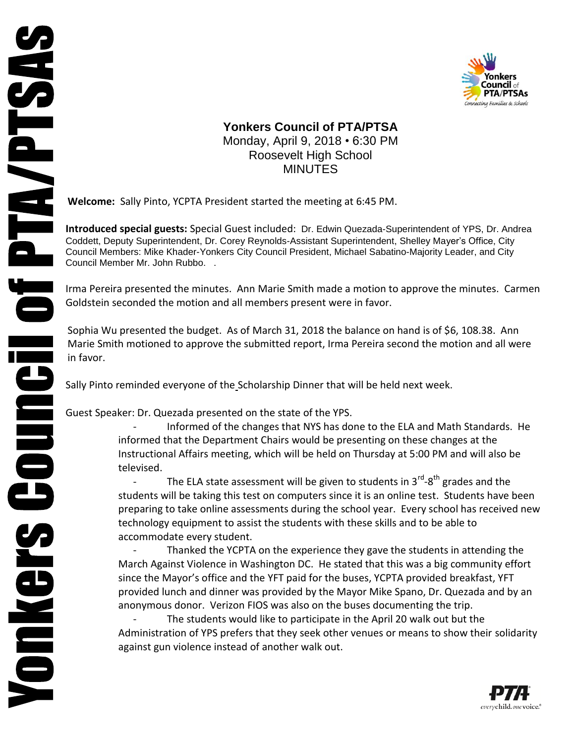



## **Yonkers Council of PTA/PTSA** Monday, April 9, 2018 • 6:30 PM Roosevelt High School MINUTES

**Welcome:** Sally Pinto, YCPTA President started the meeting at 6:45 PM.

**Introduced special guests:** Special Guest included: Dr. Edwin Quezada-Superintendent of YPS, Dr. Andrea Coddett, Deputy Superintendent, Dr. Corey Reynolds-Assistant Superintendent, Shelley Mayer's Office, City Council Members: Mike Khader-Yonkers City Council President, Michael Sabatino-Majority Leader, and City Council Member Mr. John Rubbo. .

Irma Pereira presented the minutes. Ann Marie Smith made a motion to approve the minutes. Carmen Goldstein seconded the motion and all members present were in favor.

Sophia Wu presented the budget. As of March 31, 2018 the balance on hand is of \$6, 108.38. Ann Marie Smith motioned to approve the submitted report, Irma Pereira second the motion and all were in favor.

Sally Pinto reminded everyone of the Scholarship Dinner that will be held next week.

Guest Speaker: Dr. Quezada presented on the state of the YPS.

- Informed of the changes that NYS has done to the ELA and Math Standards. He informed that the Department Chairs would be presenting on these changes at the Instructional Affairs meeting, which will be held on Thursday at 5:00 PM and will also be televised.

- The ELA state assessment will be given to students in 3<sup>rd</sup>-8<sup>th</sup> grades and the students will be taking this test on computers since it is an online test. Students have been preparing to take online assessments during the school year. Every school has received new technology equipment to assist the students with these skills and to be able to accommodate every student.

Thanked the YCPTA on the experience they gave the students in attending the March Against Violence in Washington DC. He stated that this was a big community effort since the Mayor's office and the YFT paid for the buses, YCPTA provided breakfast, YFT provided lunch and dinner was provided by the Mayor Mike Spano, Dr. Quezada and by an anonymous donor. Verizon FIOS was also on the buses documenting the trip.

The students would like to participate in the April 20 walk out but the Administration of YPS prefers that they seek other venues or means to show their solidarity against gun violence instead of another walk out.